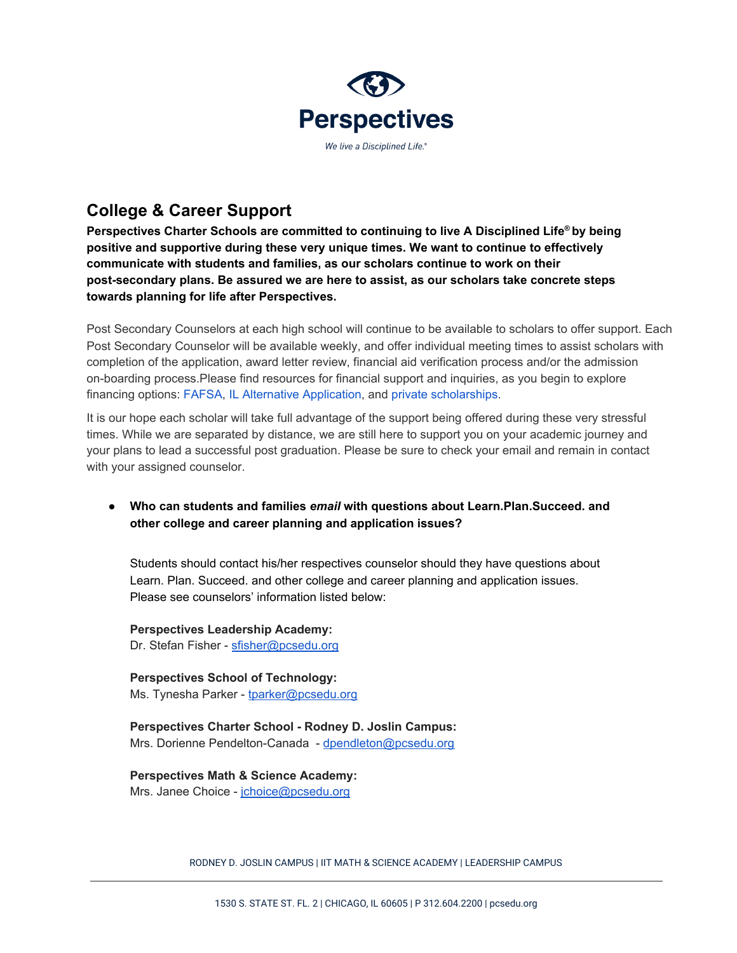

# **College & Career Support**

**Perspectives Charter Schools are committed to continuing to live A Disciplined Life ® by being positive and supportive during these very unique times. We want to continue to effectively communicate with students and families, as our scholars continue to work on their post-secondary plans. Be assured we are here to assist, as our scholars take concrete steps towards planning for life after Perspectives.**

Post Secondary Counselors at each high school will continue to be available to scholars to offer support. Each Post Secondary Counselor will be available weekly, and offer individual meeting times to assist scholars with completion of the application, award letter review, financial aid verification process and/or the admission on-boarding process.Please find resources for financial support and inquiries, as you begin to explore financing options: FAFSA, IL Alternative Application, and private scholarships.

It is our hope each scholar will take full advantage of the support being offered during these very stressful times. While we are separated by distance, we are still here to support you on your academic journey and your plans to lead a successful post graduation. Please be sure to check your email and remain in contact with your assigned counselor.

**● Who can students and families** *email* **with questions about Learn.Plan.Succeed. and other college and career planning and application issues?**

Students should contact his/her respectives counselor should they have questions about Learn. Plan. Succeed. and other college and career planning and application issues. Please see counselors' information listed below:

**Perspectives Leadership Academy:** Dr. Stefan Fisher - [sfisher@pcsedu.org](mailto:sfisher@pcsedu.org)

**Perspectives School of Technology:** Ms. Tynesha Parker - [tparker@pcsedu.org](mailto:tparker@pcsedu.org)

**Perspectives Charter School - Rodney D. Joslin Campus:** Mrs. Dorienne Pendelton-Canada - [dpendleton@pcsedu.org](mailto:dpendleton@pcsedu.org)

**Perspectives Math & Science Academy:** Mrs. Janee Choice - [jchoice@pcsedu.org](mailto:jchoice@pcsedu.org)

RODNEY D. JOSLIN CAMPUS | IIT MATH & SCIENCE ACADEMY | LEADERSHIP CAMPUS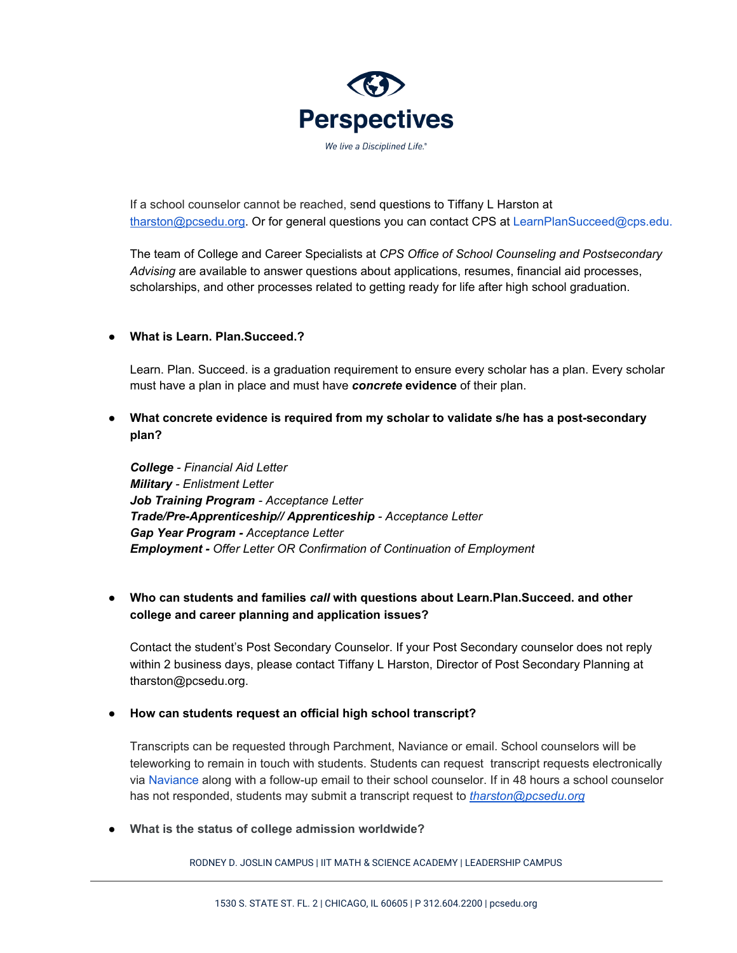

If a school counselor cannot be reached, send questions to Tiffany L Harston at [tharston@pcsedu.org.](mailto:tharston@pcsedu.org) Or for general questions you can contact CPS at LearnPlanSucceed@cps.edu.

The team of College and Career Specialists at *CPS Office of School Counseling and Postsecondary Advising* are available to answer questions about applications, resumes, financial aid processes, scholarships, and other processes related to getting ready for life after high school graduation.

### **● What is Learn. Plan.Succeed.?**

Learn. Plan. Succeed. is a graduation requirement to ensure every scholar has a plan. Every scholar must have a plan in place and must have *concrete* **evidence** of their plan.

**● What concrete evidence is required from my scholar to validate s/he has a post-secondary plan?**

*College - Financial Aid Letter Military - Enlistment Letter Job Training Program - Acceptance Letter Trade/Pre-Apprenticeship// Apprenticeship - Acceptance Letter Gap Year Program - Acceptance Letter Employment - Offer Letter OR Confirmation of Continuation of Employment*

● **Who can students and families** *call* **with questions about Learn.Plan.Succeed. and other college and career planning and application issues?**

Contact the student's Post Secondary Counselor. If your Post Secondary counselor does not reply within 2 business days, please contact Tiffany L Harston, Director of Post Secondary Planning at tharston@pcsedu.org.

#### **● How can students request an official high school transcript?**

Transcripts can be requested through Parchment, Naviance or email. School counselors will be teleworking to remain in touch with students. Students can request transcript requests electronically via Naviance along with a follow-up email to their school counselor. If in 48 hours a school counselor has not responded, students may submit a transcript request to *[tharston@pcsedu.org](mailto:tharston@pcsedu.org)*

**● What is the status of college admission worldwide?**

RODNEY D. JOSLIN CAMPUS | IIT MATH & SCIENCE ACADEMY | LEADERSHIP CAMPUS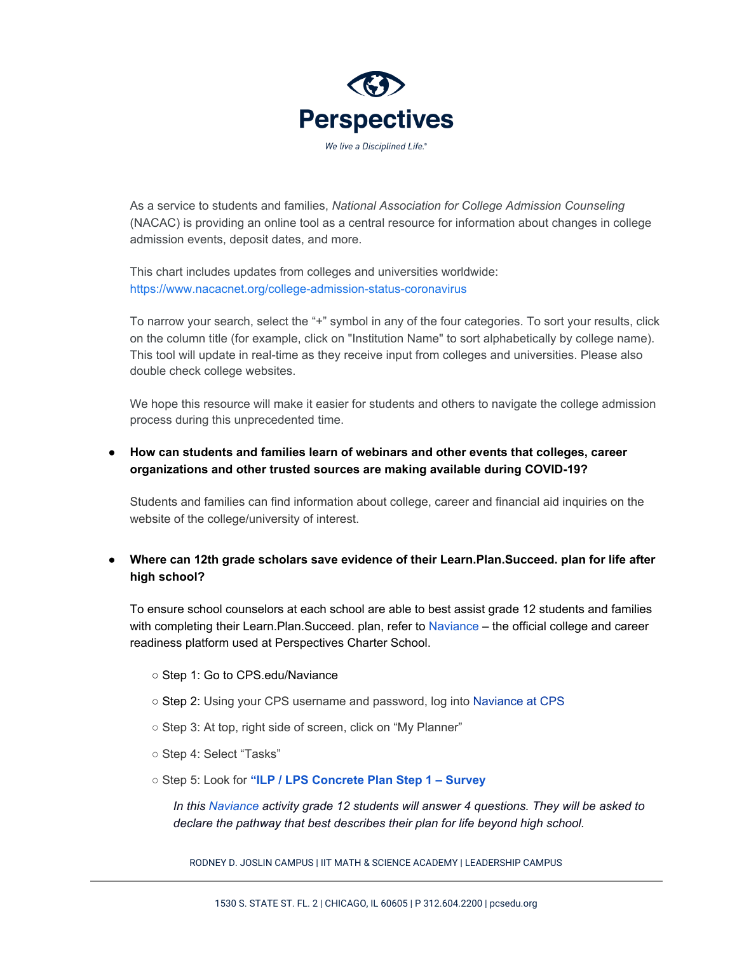

As a service to students and families, *National Association for College Admission Counseling* (NACAC) is providing an online tool as a central resource for information about changes in college admission events, deposit dates, and more.

This chart includes updates from colleges and universities worldwide: https://www.nacacnet.org/college-admission-status-coronavirus

To narrow your search, select the "+" symbol in any of the four categories. To sort your results, click on the column title (for example, click on "Institution Name" to sort alphabetically by college name). This tool will update in real-time as they receive input from colleges and universities. Please also double check college websites.

We hope this resource will make it easier for students and others to navigate the college admission process during this unprecedented time.

## **● How can students and families learn of webinars and other events that colleges, career organizations and other trusted sources are making available during COVID-19?**

Students and families can find information about college, career and financial aid inquiries on the website of the college/university of interest.

## **● Where can 12th grade scholars save evidence of their Learn.Plan.Succeed. plan for life after high school?**

To ensure school counselors at each school are able to best assist grade 12 students and families with completing their Learn.Plan.Succeed. plan, refer to Naviance – the official college and career readiness platform used at Perspectives Charter School.

- Step 1: Go to CPS.edu/Naviance
- Step 2: Using your CPS username and password, log into Naviance at CPS
- Step 3: At top, right side of screen, click on "My Planner"
- Step 4: Select "Tasks"
- Step 5: Look for **"ILP / LPS Concrete Plan Step 1 – Survey**

*In this Naviance activity grade 12 students will answer 4 questions. They will be asked to declare the pathway that best describes their plan for life beyond high school.*

RODNEY D. JOSLIN CAMPUS | IIT MATH & SCIENCE ACADEMY | LEADERSHIP CAMPUS